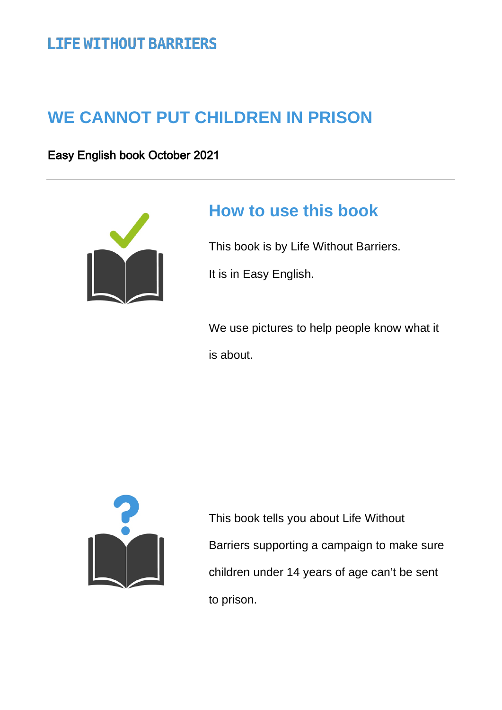# **LIFE WITHOUT BARRIERS**

# **WE CANNOT PUT CHILDREN IN PRISON**

Easy English book October 2021



# **How to use this book**

This book is by Life Without Barriers.

It is in Easy English.

We use pictures to help people know what it is about.



This book tells you about Life Without Barriers supporting a campaign to make sure children under 14 years of age can't be sent to prison.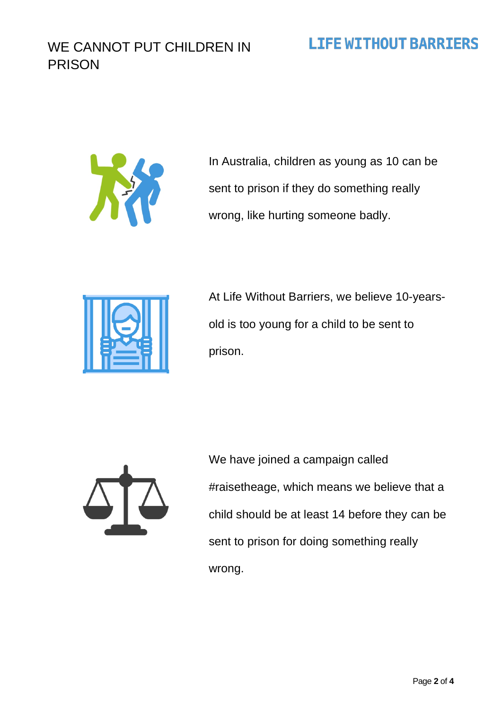#### WE CANNOT PUT CHILDREN IN PRISON

#### **LIFE WITHOUT BARRIERS**



In Australia, children as young as 10 can be sent to prison if they do something really wrong, like hurting someone badly.



At Life Without Barriers, we believe 10-yearsold is too young for a child to be sent to prison.



We have joined a campaign called #raisetheage, which means we believe that a child should be at least 14 before they can be sent to prison for doing something really wrong.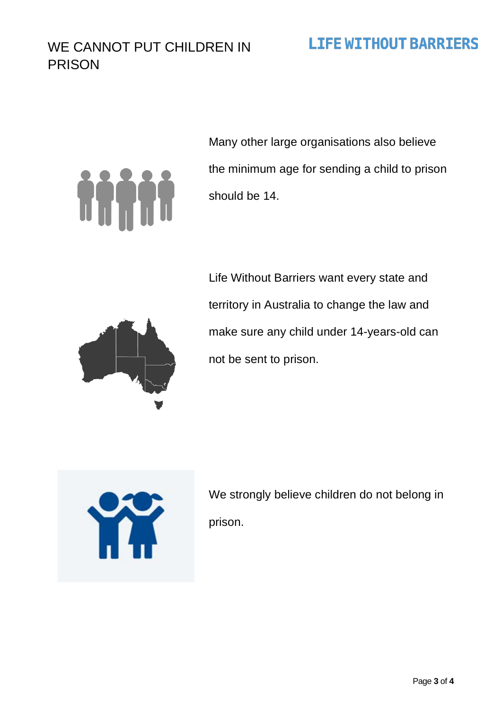#### WE CANNOT PUT CHILDREN IN PRISON

### **LIFE WITHOUT BARRIERS**

# 

Many other large organisations also believe the minimum age for sending a child to prison should be 14.



Life Without Barriers want every state and territory in Australia to change the law and make sure any child under 14-years-old can not be sent to prison.



We strongly believe children do not belong in prison.